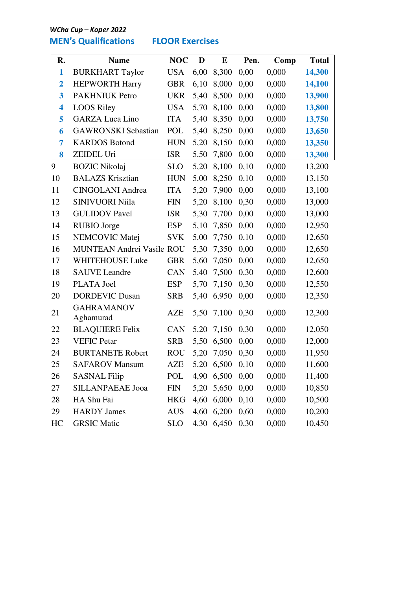- - 

## **MEN's Qualifications FLOOR Exercises**

| R.                      | <b>Name</b>                      | <b>NOC</b> | D    | $\bf{E}$   | Pen. | Comp  | <b>Total</b> |
|-------------------------|----------------------------------|------------|------|------------|------|-------|--------------|
| $\mathbf{1}$            | <b>BURKHART Taylor</b>           | <b>USA</b> | 6,00 | 8,300      | 0,00 | 0,000 | 14,300       |
| $\overline{\mathbf{2}}$ | <b>HEPWORTH Harry</b>            | <b>GBR</b> | 6,10 | 8,000      | 0,00 | 0,000 | 14,100       |
| 3                       | <b>PAKHNIUK Petro</b>            | <b>UKR</b> | 5,40 | 8,500      | 0,00 | 0,000 | 13,900       |
| 4                       | <b>LOOS Riley</b>                | <b>USA</b> | 5,70 | 8,100      | 0,00 | 0,000 | 13,800       |
| 5                       | <b>GARZA Luca Lino</b>           | <b>ITA</b> | 5,40 | 8,350      | 0,00 | 0,000 | 13,750       |
| 6                       | <b>GAWRONSKI</b> Sebastian       | POL        | 5,40 | 8,250      | 0,00 | 0,000 | 13,650       |
| 7                       | <b>KARDOS Botond</b>             | <b>HUN</b> | 5,20 | 8,150      | 0,00 | 0,000 | 13,350       |
| 8                       | ZEIDEL Uri                       | <b>ISR</b> | 5,50 | 7,800      | 0,00 | 0,000 | 13,300       |
| 9                       | <b>BOZIC Nikolaj</b>             | <b>SLO</b> | 5,20 | 8,100      | 0,10 | 0,000 | 13,200       |
| 10                      | <b>BALAZS Krisztian</b>          | <b>HUN</b> | 5,00 | 8,250      | 0,10 | 0,000 | 13,150       |
| 11                      | <b>CINGOLANI Andrea</b>          | <b>ITA</b> | 5,20 | 7,900      | 0,00 | 0,000 | 13,100       |
| 12                      | <b>SINIVUORI Niila</b>           | <b>FIN</b> | 5,20 | 8,100      | 0,30 | 0,000 | 13,000       |
| 13                      | <b>GULIDOV</b> Pavel             | <b>ISR</b> | 5,30 | 7,700      | 0,00 | 0,000 | 13,000       |
| 14                      | <b>RUBIO</b> Jorge               | <b>ESP</b> | 5,10 | 7,850      | 0,00 | 0,000 | 12,950       |
| 15                      | NEMCOVIC Matej                   | <b>SVK</b> | 5,00 | 7,750      | 0,10 | 0,000 | 12,650       |
| 16                      | <b>MUNTEAN Andrei Vasile ROU</b> |            | 5,30 | 7,350      | 0,00 | 0,000 | 12,650       |
| 17                      | WHITEHOUSE Luke                  | <b>GBR</b> | 5,60 | 7,050      | 0,00 | 0,000 | 12,650       |
| 18                      | <b>SAUVE</b> Leandre             | <b>CAN</b> | 5,40 | 7,500      | 0,30 | 0,000 | 12,600       |
| 19                      | PLATA Joel                       | <b>ESP</b> | 5,70 | 7,150      | 0,30 | 0,000 | 12,550       |
| 20                      | <b>DORDEVIC Dusan</b>            | <b>SRB</b> | 5,40 | 6,950      | 0,00 | 0,000 | 12,350       |
| 21                      | <b>GAHRAMANOV</b><br>Aghamurad   | <b>AZE</b> | 5,50 | 7,100      | 0,30 | 0,000 | 12,300       |
| 22                      | <b>BLAQUIERE Felix</b>           | CAN        | 5,20 | 7,150      | 0,30 | 0,000 | 12,050       |
| 23                      | <b>VEFIC Petar</b>               | <b>SRB</b> | 5,50 | 6,500      | 0,00 | 0,000 | 12,000       |
| 24                      | <b>BURTANETE Robert</b>          | <b>ROU</b> | 5,20 | 7,050      | 0,30 | 0,000 | 11,950       |
| 25                      | <b>SAFAROV Mansum</b>            | AZE        |      | 5,20 6,500 | 0,10 | 0,000 | 11,600       |
| 26                      | <b>SASNAL Filip</b>              | POL        |      | 4,90 6,500 | 0,00 | 0,000 | 11,400       |
| 27                      | <b>SILLANPAEAE Jooa</b>          | <b>FIN</b> |      | 5,20 5,650 | 0,00 | 0,000 | 10,850       |
| 28                      | HA Shu Fai                       | <b>HKG</b> |      | 4,60 6,000 | 0,10 | 0,000 | 10,500       |
| 29                      | <b>HARDY</b> James               | <b>AUS</b> |      | 4,60 6,200 | 0,60 | 0,000 | 10,200       |
| HC                      | <b>GRSIC Matic</b>               | <b>SLO</b> |      | 4,30 6,450 | 0,30 | 0,000 | 10,450       |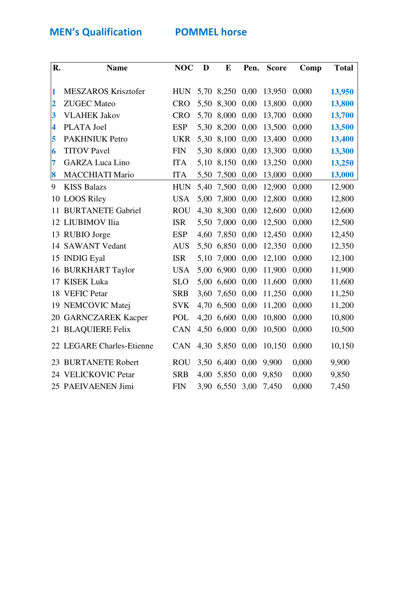**MEN's Qualification 60 POMMEL horse** 

| R.                      | <b>Name</b>                | <b>NOC</b> | D    | E          | Pen. | <b>Score</b> | Comp  | <b>Total</b> |
|-------------------------|----------------------------|------------|------|------------|------|--------------|-------|--------------|
|                         |                            |            |      |            |      |              |       |              |
| 1                       | <b>MESZAROS Krisztofer</b> | <b>HUN</b> |      | 5,70 8,250 | 0,00 | 13,950       | 0,000 | 13,950       |
| $\overline{2}$          | <b>ZUGEC</b> Mateo         | <b>CRO</b> |      | 5,50 8,300 | 0,00 | 13,800       | 0,000 | 13,800       |
| 3                       | <b>VLAHEK Jakov</b>        | <b>CRO</b> | 5,70 | 8,000      | 0,00 | 13,700       | 0,000 | 13,700       |
| $\overline{\mathbf{4}}$ | PLATA Joel                 | <b>ESP</b> | 5,30 | 8,200      | 0,00 | 13,500       | 0,000 | 13,500       |
| 5                       | <b>PAKHNIUK Petro</b>      | <b>UKR</b> | 5,30 | 8,100      | 0,00 | 13,400       | 0,000 | 13,400       |
| 6                       | <b>TITOV Pavel</b>         | <b>FIN</b> | 5,30 | 8,000      | 0,00 | 13,300       | 0,000 | 13,300       |
| 7                       | <b>GARZA Luca Lino</b>     | <b>ITA</b> | 5,10 | 8,150      | 0,00 | 13,250       | 0,000 | 13,250       |
| 8                       | <b>MACCHIATI Mario</b>     | <b>ITA</b> | 5,50 | 7,500      | 0,00 | 13,000       | 0,000 | 13,000       |
| 9                       | <b>KISS Balazs</b>         | <b>HUN</b> | 5,40 | 7,500      | 0,00 | 12,900       | 0,000 | 12,900       |
|                         | 10 LOOS Riley              | <b>USA</b> | 5,00 | 7,800      | 0,00 | 12,800       | 0,000 | 12,800       |
| 11                      | <b>BURTANETE Gabriel</b>   | <b>ROU</b> | 4,30 | 8,300      | 0,00 | 12,600       | 0,000 | 12,600       |
|                         | 12 LIUBIMOV Ilia           | <b>ISR</b> | 5,50 | 7,000      | 0,00 | 12,500       | 0,000 | 12,500       |
|                         | 13 RUBIO Jorge             | <b>ESP</b> | 4,60 | 7,850      | 0,00 | 12,450       | 0,000 | 12,450       |
|                         | 14 SAWANT Vedant           | <b>AUS</b> | 5,50 | 6,850      | 0,00 | 12,350       | 0,000 | 12,350       |
| 15                      | <b>INDIG Eyal</b>          | <b>ISR</b> | 5,10 | 7,000      | 0,00 | 12,100       | 0,000 | 12,100       |
|                         | 16 BURKHART Taylor         | <b>USA</b> |      | 5,00 6,900 | 0,00 | 11,900       | 0,000 | 11,900       |
|                         | 17 KISEK Luka              | <b>SLO</b> | 5,00 | 6,600      | 0,00 | 11,600       | 0,000 | 11,600       |
|                         | 18 VEFIC Petar             | <b>SRB</b> | 3,60 | 7,650      | 0,00 | 11,250       | 0,000 | 11,250       |
|                         | 19 NEMCOVIC Matej          | <b>SVK</b> |      | 4,70 6,500 | 0,00 | 11,200       | 0,000 | 11,200       |
|                         | 20 GARNCZAREK Kacper       | POL        |      | 4,20 6,600 | 0,00 | 10,800       | 0,000 | 10,800       |
|                         | 21 BLAQUIERE Felix         | <b>CAN</b> |      | 4,50 6,000 | 0,00 | 10,500       | 0,000 | 10,500       |
|                         | 22 LEGARE Charles-Etienne  | <b>CAN</b> |      | 4,30 5,850 | 0,00 | 10,150       | 0,000 | 10,150       |
|                         | 23 BURTANETE Robert        | <b>ROU</b> |      | 3,50 6,400 | 0,00 | 9,900        | 0,000 | 9,900        |
|                         | 24 VELICKOVIC Petar        | <b>SRB</b> | 4,00 | 5,850      | 0,00 | 9,850        | 0,000 | 9,850        |
|                         | 25 PAEIVAENEN Jimi         | <b>FIN</b> |      | 3,90 6,550 | 3,00 | 7,450        | 0,000 | 7,450        |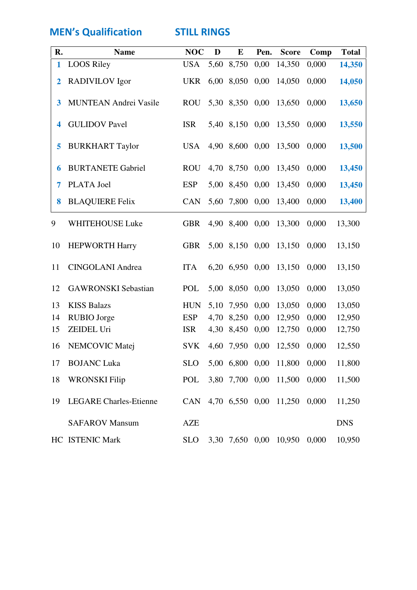**MEN's Qualification STILL RINGS** 

| R.             | <b>Name</b>                   | <b>NOC</b> | D    | E          | Pen. | <b>Score</b>           | Comp  | <b>Total</b> |
|----------------|-------------------------------|------------|------|------------|------|------------------------|-------|--------------|
| 1              | <b>LOOS Riley</b>             | <b>USA</b> | 5,60 | 8,750      | 0,00 | 14,350                 | 0,000 | 14,350       |
| $\overline{2}$ | <b>RADIVILOV</b> Igor         | <b>UKR</b> | 6,00 | 8,050      | 0,00 | 14,050                 | 0,000 | 14,050       |
| 3              | <b>MUNTEAN Andrei Vasile</b>  | <b>ROU</b> |      | 5,30 8,350 | 0,00 | 13,650                 | 0,000 | 13,650       |
| 4              | <b>GULIDOV</b> Pavel          | <b>ISR</b> |      | 5,40 8,150 | 0,00 | 13,550                 | 0,000 | 13,550       |
| 5              | <b>BURKHART Taylor</b>        | <b>USA</b> |      | 4,90 8,600 | 0,00 | 13,500                 | 0,000 | 13,500       |
| 6              | <b>BURTANETE Gabriel</b>      | <b>ROU</b> |      | 4,70 8,750 | 0,00 | 13,450                 | 0,000 | 13,450       |
| 7              | PLATA Joel                    | <b>ESP</b> |      | 5,00 8,450 | 0,00 | 13,450                 | 0,000 | 13,450       |
| 8              | <b>BLAQUIERE Felix</b>        | <b>CAN</b> | 5,60 | 7,800      | 0,00 | 13,400                 | 0,000 | 13,400       |
| 9              | WHITEHOUSE Luke               | <b>GBR</b> |      | 4,90 8,400 | 0,00 | 13,300                 | 0,000 | 13,300       |
| 10             | <b>HEPWORTH Harry</b>         | <b>GBR</b> |      | 5,00 8,150 | 0,00 | 13,150                 | 0,000 | 13,150       |
| 11             | <b>CINGOLANI Andrea</b>       | <b>ITA</b> |      | 6,20 6,950 | 0,00 | 13,150                 | 0,000 | 13,150       |
| 12             | <b>GAWRONSKI</b> Sebastian    | POL        | 5,00 | 8,050      | 0,00 | 13,050                 | 0,000 | 13,050       |
| 13             | <b>KISS Balazs</b>            | <b>HUN</b> | 5,10 | 7,950      | 0,00 | 13,050                 | 0,000 | 13,050       |
| 14             | RUBIO Jorge                   | <b>ESP</b> | 4,70 | 8,250      | 0,00 | 12,950                 | 0,000 | 12,950       |
| 15             | ZEIDEL Uri                    | <b>ISR</b> | 4,30 | 8,450      | 0,00 | 12,750                 | 0,000 | 12,750       |
| 16             | NEMCOVIC Matej                | <b>SVK</b> | 4,60 | 7,950      | 0,00 | 12,550                 | 0,000 | 12,550       |
| 17             | <b>BOJANC Luka</b>            | <b>SLO</b> |      |            |      | 5,00 6,800 0,00 11,800 | 0,000 | 11,800       |
| 18             | <b>WRONSKI</b> Filip          | POL        |      |            |      | 3,80 7,700 0,00 11,500 | 0,000 | 11,500       |
| 19             | <b>LEGARE Charles-Etienne</b> | CAN        |      |            |      | 4,70 6,550 0,00 11,250 | 0,000 | 11,250       |
|                | <b>SAFAROV Mansum</b>         | <b>AZE</b> |      |            |      |                        |       | <b>DNS</b>   |
|                | HC ISTENIC Mark               | <b>SLO</b> |      |            |      | 3,30 7,650 0,00 10,950 | 0,000 | 10,950       |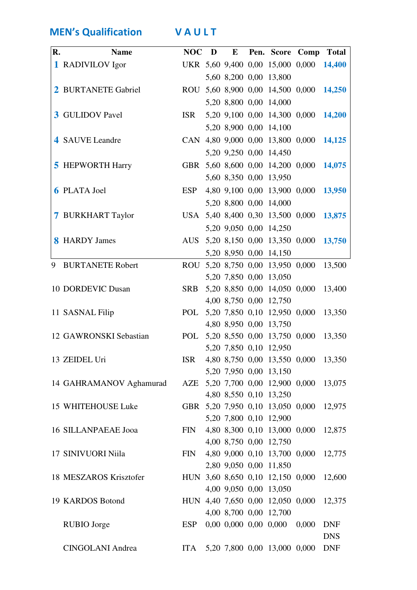MEN's Qualification VAULT

| R. | <b>Name</b>                |  |  |                                  | NOC D E Pen. Score Comp Total           |            |
|----|----------------------------|--|--|----------------------------------|-----------------------------------------|------------|
|    | 1 RADIVILOV Igor           |  |  |                                  | UKR 5,60 9,400 0,00 15,000 0,000 14,400 |            |
|    |                            |  |  | 5,60 8,200 0,00 13,800           |                                         |            |
|    | 2 BURTANETE Gabriel        |  |  |                                  | ROU 5,60 8,900 0,00 14,500 0,000 14,250 |            |
|    |                            |  |  | 5,20 8,800 0,00 14,000           |                                         |            |
|    | <b>3</b> GULIDOV Pavel     |  |  |                                  | ISR 5,20 9,100 0,00 14,300 0,000 14,200 |            |
|    |                            |  |  | 5,20 8,900 0,00 14,100           |                                         |            |
|    | 4 SAUVE Leandre            |  |  |                                  | CAN 4,80 9,000 0,00 13,800 0,000 14,125 |            |
|    |                            |  |  | 5,20 9,250 0,00 14,450           |                                         |            |
|    | <b>5</b> HEPWORTH Harry    |  |  |                                  | GBR 5,60 8,600 0,00 14,200 0,000 14,075 |            |
|    |                            |  |  | 5,60 8,350 0,00 13,950           |                                         |            |
|    | <b>6 PLATA Joel</b>        |  |  |                                  | ESP 4,80 9,100 0,00 13,900 0,000 13,950 |            |
|    |                            |  |  | 5,20 8,800 0,00 14,000           |                                         |            |
|    | 7 BURKHART Taylor          |  |  |                                  | USA 5,40 8,400 0,30 13,500 0,000 13,875 |            |
|    |                            |  |  | 5,20 9,050 0,00 14,250           |                                         |            |
|    | <b>8</b> HARDY James       |  |  |                                  | AUS 5,20 8,150 0,00 13,350 0,000 13,750 |            |
|    |                            |  |  | 5,20 8,950 0,00 14,150           |                                         |            |
| 9  | <b>BURTANETE Robert</b>    |  |  |                                  | ROU 5,20 8,750 0,00 13,950 0,000 13,500 |            |
|    |                            |  |  | 5,20 7,850 0,00 13,050           |                                         |            |
|    | 10 DORDEVIC Dusan          |  |  | SRB 5,20 8,850 0,00 14,050 0,000 |                                         | 13,400     |
|    |                            |  |  | 4,00 8,750 0,00 12,750           |                                         |            |
|    | 11 SASNAL Filip            |  |  | POL 5,20 7,850 0,10 12,950 0,000 |                                         | 13,350     |
|    |                            |  |  | 4,80 8,950 0,00 13,750           |                                         |            |
|    | 12 GAWRONSKI Sebastian     |  |  |                                  | POL 5,20 8,550 0,00 13,750 0,000 13,350 |            |
|    | 13 ZEIDEL Uri              |  |  | 5,20 7,850 0,10 12,950           |                                         |            |
|    |                            |  |  | 5,20 7,950 0,00 13,150           | ISR 4,80 8,750 0,00 13,550 0,000 13,350 |            |
|    | 14 GAHRAMANOV Aghamurad    |  |  |                                  | AZE 5,20 7,700 0,00 12,900 0,000 13,075 |            |
|    |                            |  |  | 4,80 8,550 0,10 13,250           |                                         |            |
|    | 15 WHITEHOUSE Luke         |  |  | GBR 5,20 7,950 0,10 13,050 0,000 |                                         | 12,975     |
|    |                            |  |  | 5,20 7,800 0,10 12,900           |                                         |            |
|    | <b>16 SILLANPAEAE Jooa</b> |  |  | FIN 4,80 8,300 0,10 13,000 0,000 |                                         | 12,875     |
|    |                            |  |  | 4,00 8,750 0,00 12,750           |                                         |            |
|    | 17 SINIVUORI Niila         |  |  | FIN 4,80 9,000 0,10 13,700 0,000 |                                         | 12,775     |
|    |                            |  |  | 2,80 9,050 0,00 11,850           |                                         |            |
|    | 18 MESZAROS Krisztofer     |  |  |                                  | HUN 3,60 8,650 0,10 12,150 0,000 12,600 |            |
|    |                            |  |  | 4,00 9,050 0,00 13,050           |                                         |            |
|    | 19 KARDOS Botond           |  |  | HUN 4,40 7,650 0,00 12,050 0,000 |                                         | 12,375     |
|    |                            |  |  | 4,00 8,700 0,00 12,700           |                                         |            |
|    | <b>RUBIO</b> Jorge         |  |  | ESP 0,00 0,000 0,00 0,000 0,000  |                                         | <b>DNF</b> |
|    |                            |  |  |                                  |                                         | <b>DNS</b> |
|    | <b>CINGOLANI Andrea</b>    |  |  | ITA 5,20 7,800 0,00 13,000 0,000 |                                         | <b>DNF</b> |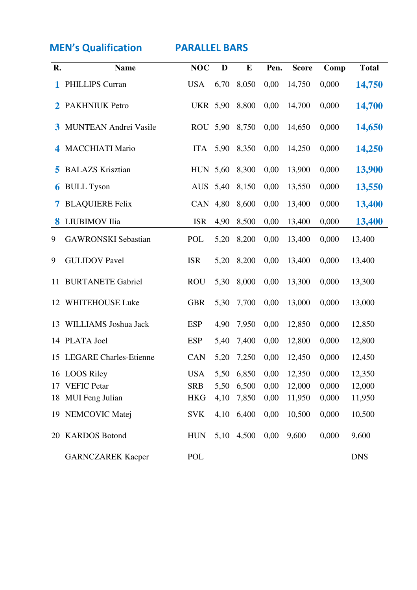**MEN's Qualification FARALLEL BARS** 

| R. | <b>Name</b>                  | <b>NOC</b>      | D    | E     | Pen. | <b>Score</b>                 | Comp  | <b>Total</b> |
|----|------------------------------|-----------------|------|-------|------|------------------------------|-------|--------------|
| 1  | <b>PHILLIPS Curran</b>       | <b>USA</b>      | 6,70 | 8,050 | 0,00 | 14,750                       | 0,000 | 14,750       |
| 2  | <b>PAKHNIUK Petro</b>        | <b>UKR 5,90</b> |      | 8,800 | 0,00 | 14,700                       | 0,000 | 14,700       |
| 3  | <b>MUNTEAN Andrei Vasile</b> | ROU 5,90        |      | 8,750 | 0,00 | 14,650                       | 0,000 | 14,650       |
| 4  | <b>MACCHIATI Mario</b>       | <b>ITA</b>      | 5,90 | 8,350 | 0,00 | 14,250                       | 0,000 | 14,250       |
| 5  | <b>BALAZS Krisztian</b>      | HUN 5,60        |      | 8,300 | 0,00 | 13,900                       | 0,000 | 13,900       |
| 6  | <b>BULL Tyson</b>            | AUS 5,40        |      | 8,150 | 0,00 | 13,550                       | 0,000 | 13,550       |
| 7  | <b>BLAQUIERE Felix</b>       | CAN 4,80        |      | 8,600 | 0,00 | 13,400                       | 0,000 | 13,400       |
| 8  | LIUBIMOV Ilia                | <b>ISR</b>      | 4,90 | 8,500 | 0,00 | 13,400                       | 0,000 | 13,400       |
| 9  | <b>GAWRONSKI</b> Sebastian   | POL             | 5,20 | 8,200 | 0,00 | 13,400                       | 0,000 | 13,400       |
| 9  | <b>GULIDOV Pavel</b>         | <b>ISR</b>      | 5,20 | 8,200 | 0,00 | 13,400                       | 0,000 | 13,400       |
| 11 | <b>BURTANETE Gabriel</b>     | <b>ROU</b>      | 5,30 | 8,000 | 0,00 | 13,300                       | 0,000 | 13,300       |
| 12 | WHITEHOUSE Luke              | <b>GBR</b>      | 5,30 | 7,700 | 0,00 | 13,000                       | 0,000 | 13,000       |
| 13 | WILLIAMS Joshua Jack         | <b>ESP</b>      | 4,90 | 7,950 | 0,00 | 12,850                       | 0,000 | 12,850       |
|    | 14 PLATA Joel                | <b>ESP</b>      | 5,40 | 7,400 | 0,00 | 12,800                       | 0,000 | 12,800       |
|    | 15 LEGARE Charles-Etienne    | <b>CAN</b>      | 5,20 | 7,250 | 0,00 | 12,450                       | 0,000 | 12,450       |
|    | 16 LOOS Riley                | <b>USA</b>      |      |       |      | 5,50 6,850 0,00 12,350 0,000 |       | 12,350       |
| 17 | <b>VEFIC Petar</b>           | <b>SRB</b>      | 5,50 | 6,500 | 0,00 | 12,000                       | 0,000 | 12,000       |
| 18 | <b>MUI</b> Feng Julian       | <b>HKG</b>      | 4,10 | 7,850 | 0,00 | 11,950                       | 0,000 | 11,950       |
| 19 | <b>NEMCOVIC Matej</b>        | <b>SVK</b>      | 4,10 | 6,400 | 0,00 | 10,500                       | 0,000 | 10,500       |
| 20 | <b>KARDOS Botond</b>         | <b>HUN</b>      | 5,10 | 4,500 | 0,00 | 9,600                        | 0,000 | 9,600        |
|    | <b>GARNCZAREK Kacper</b>     | POL             |      |       |      |                              |       | <b>DNS</b>   |